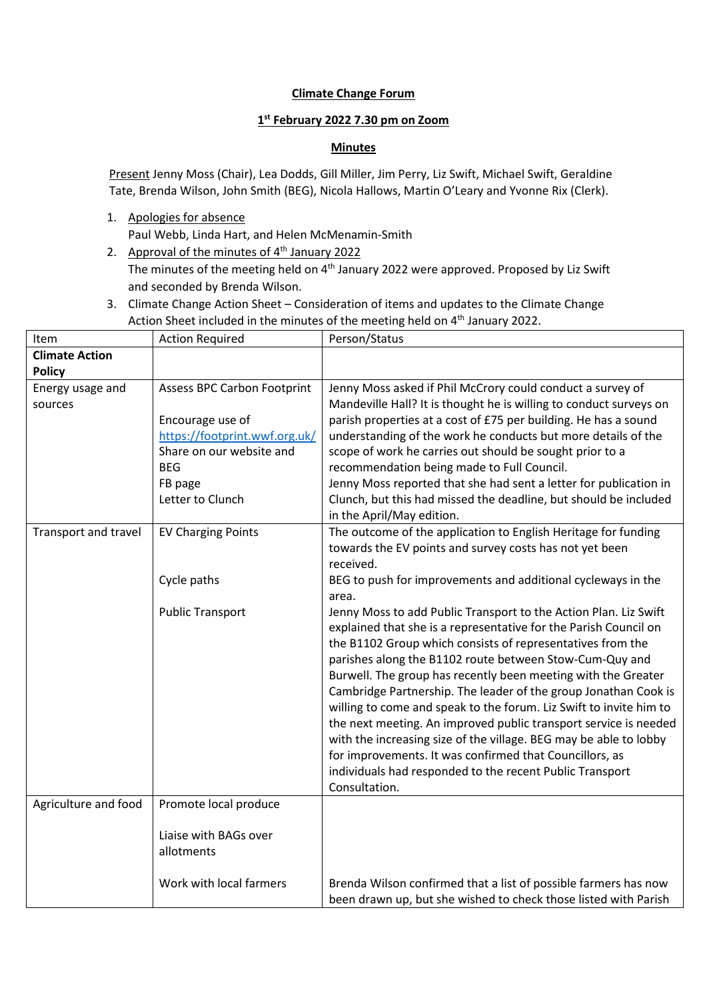## **Climate Change Forum**

## **1 st February 2022 7.30 pm on Zoom**

#### **Minutes**

Present Jenny Moss (Chair), Lea Dodds, Gill Miller, Jim Perry, Liz Swift, Michael Swift, Geraldine Tate, Brenda Wilson, John Smith (BEG), Nicola Hallows, Martin O'Leary and Yvonne Rix (Clerk).

1. Apologies for absence

Paul Webb, Linda Hart, and Helen McMenamin-Smith

- 2. Approval of the minutes of  $4<sup>th</sup>$  January 2022 The minutes of the meeting held on  $4<sup>th</sup>$  January 2022 were approved. Proposed by Liz Swift and seconded by Brenda Wilson.
- 3. Climate Change Action Sheet Consideration of items and updates to the Climate Change Action Sheet included in the minutes of the meeting held on 4<sup>th</sup> January 2022.

| Item                  | <b>Action Required</b>             | Person/Status                                                      |
|-----------------------|------------------------------------|--------------------------------------------------------------------|
| <b>Climate Action</b> |                                    |                                                                    |
| <b>Policy</b>         |                                    |                                                                    |
| Energy usage and      | <b>Assess BPC Carbon Footprint</b> | Jenny Moss asked if Phil McCrory could conduct a survey of         |
| sources               |                                    | Mandeville Hall? It is thought he is willing to conduct surveys on |
|                       | Encourage use of                   | parish properties at a cost of £75 per building. He has a sound    |
|                       | https://footprint.wwf.org.uk/      | understanding of the work he conducts but more details of the      |
|                       | Share on our website and           | scope of work he carries out should be sought prior to a           |
|                       | <b>BEG</b>                         | recommendation being made to Full Council.                         |
|                       | FB page                            | Jenny Moss reported that she had sent a letter for publication in  |
|                       | Letter to Clunch                   | Clunch, but this had missed the deadline, but should be included   |
|                       |                                    | in the April/May edition.                                          |
| Transport and travel  | <b>EV Charging Points</b>          | The outcome of the application to English Heritage for funding     |
|                       |                                    | towards the EV points and survey costs has not yet been            |
|                       |                                    | received.                                                          |
|                       | Cycle paths                        | BEG to push for improvements and additional cycleways in the       |
|                       |                                    | area.                                                              |
|                       | <b>Public Transport</b>            | Jenny Moss to add Public Transport to the Action Plan. Liz Swift   |
|                       |                                    | explained that she is a representative for the Parish Council on   |
|                       |                                    | the B1102 Group which consists of representatives from the         |
|                       |                                    | parishes along the B1102 route between Stow-Cum-Quy and            |
|                       |                                    | Burwell. The group has recently been meeting with the Greater      |
|                       |                                    | Cambridge Partnership. The leader of the group Jonathan Cook is    |
|                       |                                    | willing to come and speak to the forum. Liz Swift to invite him to |
|                       |                                    | the next meeting. An improved public transport service is needed   |
|                       |                                    | with the increasing size of the village. BEG may be able to lobby  |
|                       |                                    | for improvements. It was confirmed that Councillors, as            |
|                       |                                    | individuals had responded to the recent Public Transport           |
|                       |                                    | Consultation.                                                      |
| Agriculture and food  | Promote local produce              |                                                                    |
|                       |                                    |                                                                    |
|                       | Liaise with BAGs over              |                                                                    |
|                       | allotments                         |                                                                    |
|                       |                                    |                                                                    |
|                       | Work with local farmers            | Brenda Wilson confirmed that a list of possible farmers has now    |
|                       |                                    | been drawn up, but she wished to check those listed with Parish    |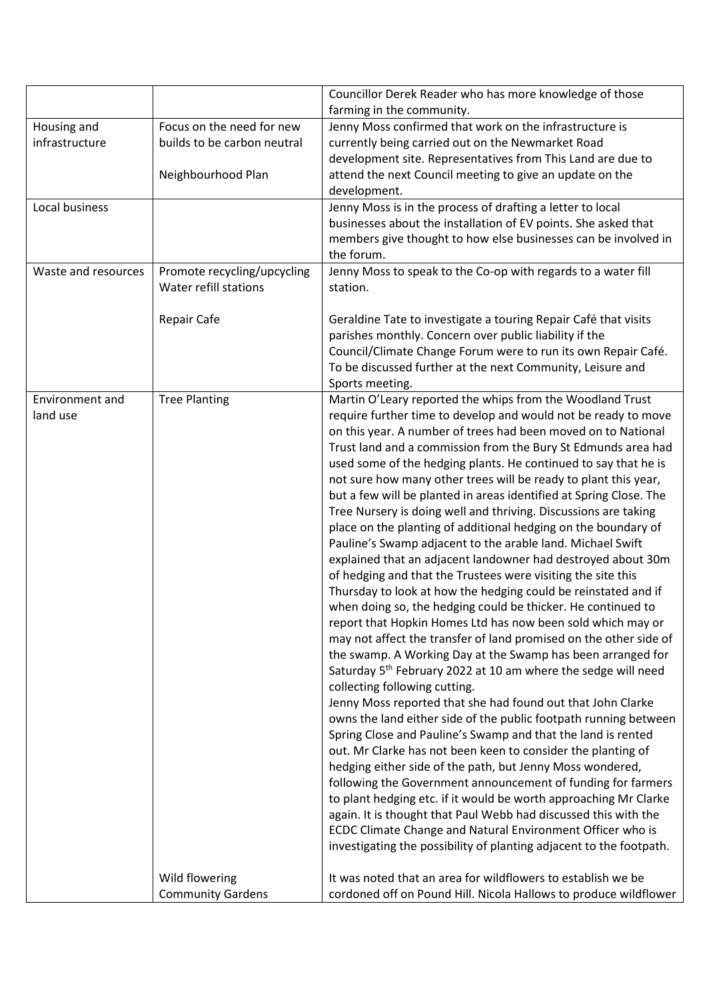|                     |                             | Councillor Derek Reader who has more knowledge of those                                                                      |
|---------------------|-----------------------------|------------------------------------------------------------------------------------------------------------------------------|
|                     |                             | farming in the community.                                                                                                    |
| Housing and         | Focus on the need for new   | Jenny Moss confirmed that work on the infrastructure is                                                                      |
| infrastructure      | builds to be carbon neutral | currently being carried out on the Newmarket Road                                                                            |
|                     |                             | development site. Representatives from This Land are due to                                                                  |
|                     | Neighbourhood Plan          | attend the next Council meeting to give an update on the                                                                     |
|                     |                             | development.                                                                                                                 |
| Local business      |                             | Jenny Moss is in the process of drafting a letter to local                                                                   |
|                     |                             | businesses about the installation of EV points. She asked that                                                               |
|                     |                             | members give thought to how else businesses can be involved in                                                               |
|                     |                             | the forum.                                                                                                                   |
| Waste and resources | Promote recycling/upcycling | Jenny Moss to speak to the Co-op with regards to a water fill                                                                |
|                     | Water refill stations       | station.                                                                                                                     |
|                     |                             |                                                                                                                              |
|                     | <b>Repair Cafe</b>          | Geraldine Tate to investigate a touring Repair Café that visits                                                              |
|                     |                             | parishes monthly. Concern over public liability if the                                                                       |
|                     |                             | Council/Climate Change Forum were to run its own Repair Café.                                                                |
|                     |                             | To be discussed further at the next Community, Leisure and                                                                   |
|                     |                             | Sports meeting.                                                                                                              |
| Environment and     | <b>Tree Planting</b>        | Martin O'Leary reported the whips from the Woodland Trust                                                                    |
| land use            |                             | require further time to develop and would not be ready to move                                                               |
|                     |                             | on this year. A number of trees had been moved on to National                                                                |
|                     |                             | Trust land and a commission from the Bury St Edmunds area had                                                                |
|                     |                             | used some of the hedging plants. He continued to say that he is                                                              |
|                     |                             | not sure how many other trees will be ready to plant this year,                                                              |
|                     |                             | but a few will be planted in areas identified at Spring Close. The                                                           |
|                     |                             | Tree Nursery is doing well and thriving. Discussions are taking                                                              |
|                     |                             | place on the planting of additional hedging on the boundary of<br>Pauline's Swamp adjacent to the arable land. Michael Swift |
|                     |                             | explained that an adjacent landowner had destroyed about 30m                                                                 |
|                     |                             | of hedging and that the Trustees were visiting the site this                                                                 |
|                     |                             | Thursday to look at how the hedging could be reinstated and if                                                               |
|                     |                             | when doing so, the hedging could be thicker. He continued to                                                                 |
|                     |                             | report that Hopkin Homes Ltd has now been sold which may or                                                                  |
|                     |                             | may not affect the transfer of land promised on the other side of                                                            |
|                     |                             | the swamp. A Working Day at the Swamp has been arranged for                                                                  |
|                     |                             | Saturday 5 <sup>th</sup> February 2022 at 10 am where the sedge will need                                                    |
|                     |                             | collecting following cutting.                                                                                                |
|                     |                             | Jenny Moss reported that she had found out that John Clarke                                                                  |
|                     |                             | owns the land either side of the public footpath running between                                                             |
|                     |                             | Spring Close and Pauline's Swamp and that the land is rented                                                                 |
|                     |                             | out. Mr Clarke has not been keen to consider the planting of                                                                 |
|                     |                             | hedging either side of the path, but Jenny Moss wondered,                                                                    |
|                     |                             | following the Government announcement of funding for farmers                                                                 |
|                     |                             | to plant hedging etc. if it would be worth approaching Mr Clarke                                                             |
|                     |                             | again. It is thought that Paul Webb had discussed this with the                                                              |
|                     |                             | ECDC Climate Change and Natural Environment Officer who is                                                                   |
|                     |                             | investigating the possibility of planting adjacent to the footpath.                                                          |
|                     |                             |                                                                                                                              |
|                     | Wild flowering              | It was noted that an area for wildflowers to establish we be                                                                 |
|                     | <b>Community Gardens</b>    | cordoned off on Pound Hill. Nicola Hallows to produce wildflower                                                             |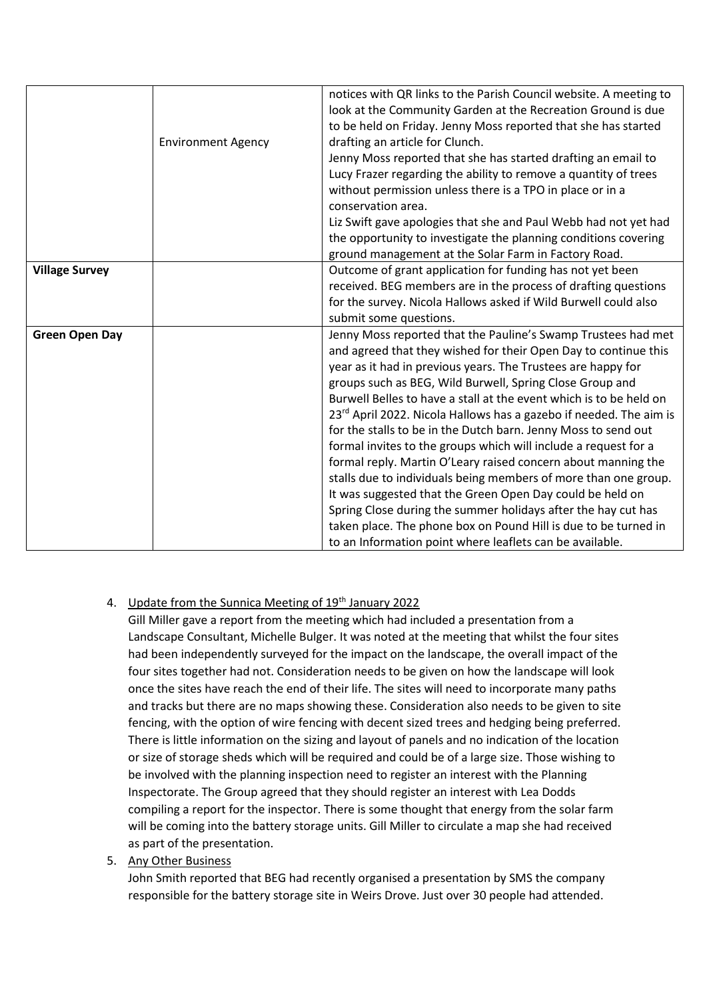|                       | <b>Environment Agency</b> | notices with QR links to the Parish Council website. A meeting to<br>look at the Community Garden at the Recreation Ground is due<br>to be held on Friday. Jenny Moss reported that she has started<br>drafting an article for Clunch.<br>Jenny Moss reported that she has started drafting an email to<br>Lucy Frazer regarding the ability to remove a quantity of trees<br>without permission unless there is a TPO in place or in a<br>conservation area.<br>Liz Swift gave apologies that she and Paul Webb had not yet had<br>the opportunity to investigate the planning conditions covering                                                                                                                                                                                                                                                                                                                                            |
|-----------------------|---------------------------|------------------------------------------------------------------------------------------------------------------------------------------------------------------------------------------------------------------------------------------------------------------------------------------------------------------------------------------------------------------------------------------------------------------------------------------------------------------------------------------------------------------------------------------------------------------------------------------------------------------------------------------------------------------------------------------------------------------------------------------------------------------------------------------------------------------------------------------------------------------------------------------------------------------------------------------------|
|                       |                           | ground management at the Solar Farm in Factory Road.                                                                                                                                                                                                                                                                                                                                                                                                                                                                                                                                                                                                                                                                                                                                                                                                                                                                                           |
| <b>Village Survey</b> |                           | Outcome of grant application for funding has not yet been<br>received. BEG members are in the process of drafting questions<br>for the survey. Nicola Hallows asked if Wild Burwell could also<br>submit some questions.                                                                                                                                                                                                                                                                                                                                                                                                                                                                                                                                                                                                                                                                                                                       |
| <b>Green Open Day</b> |                           | Jenny Moss reported that the Pauline's Swamp Trustees had met<br>and agreed that they wished for their Open Day to continue this<br>year as it had in previous years. The Trustees are happy for<br>groups such as BEG, Wild Burwell, Spring Close Group and<br>Burwell Belles to have a stall at the event which is to be held on<br>23rd April 2022. Nicola Hallows has a gazebo if needed. The aim is<br>for the stalls to be in the Dutch barn. Jenny Moss to send out<br>formal invites to the groups which will include a request for a<br>formal reply. Martin O'Leary raised concern about manning the<br>stalls due to individuals being members of more than one group.<br>It was suggested that the Green Open Day could be held on<br>Spring Close during the summer holidays after the hay cut has<br>taken place. The phone box on Pound Hill is due to be turned in<br>to an Information point where leaflets can be available. |

# 4. Update from the Sunnica Meeting of 19<sup>th</sup> January 2022

Gill Miller gave a report from the meeting which had included a presentation from a Landscape Consultant, Michelle Bulger. It was noted at the meeting that whilst the four sites had been independently surveyed for the impact on the landscape, the overall impact of the four sites together had not. Consideration needs to be given on how the landscape will look once the sites have reach the end of their life. The sites will need to incorporate many paths and tracks but there are no maps showing these. Consideration also needs to be given to site fencing, with the option of wire fencing with decent sized trees and hedging being preferred. There is little information on the sizing and layout of panels and no indication of the location or size of storage sheds which will be required and could be of a large size. Those wishing to be involved with the planning inspection need to register an interest with the Planning Inspectorate. The Group agreed that they should register an interest with Lea Dodds compiling a report for the inspector. There is some thought that energy from the solar farm will be coming into the battery storage units. Gill Miller to circulate a map she had received as part of the presentation.

#### 5. Any Other Business

John Smith reported that BEG had recently organised a presentation by SMS the company responsible for the battery storage site in Weirs Drove. Just over 30 people had attended.